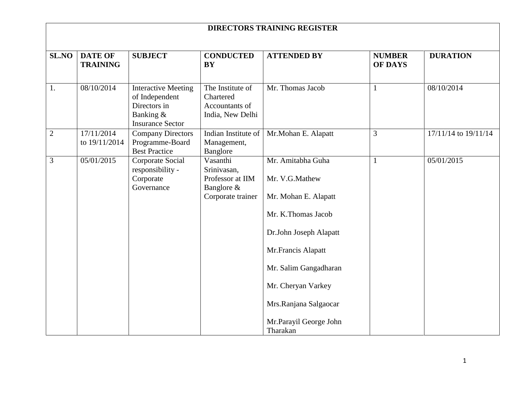| <b>SL.NO</b>   | <b>DATE OF</b><br><b>TRAINING</b> | <b>SUBJECT</b>                                                                                       | <b>CONDUCTED</b><br><b>BY</b>                                                  | <b>ATTENDED BY</b>                                                                                                                                                                                                                              | <b>NUMBER</b><br><b>OF DAYS</b> | <b>DURATION</b>          |
|----------------|-----------------------------------|------------------------------------------------------------------------------------------------------|--------------------------------------------------------------------------------|-------------------------------------------------------------------------------------------------------------------------------------------------------------------------------------------------------------------------------------------------|---------------------------------|--------------------------|
| 1.             | 08/10/2014                        | <b>Interactive Meeting</b><br>of Independent<br>Directors in<br>Banking &<br><b>Insurance Sector</b> | The Institute of<br>Chartered<br>Accountants of<br>India, New Delhi            | Mr. Thomas Jacob                                                                                                                                                                                                                                | $\mathbf{1}$                    | 08/10/2014               |
| $\overline{2}$ | 17/11/2014<br>to 19/11/2014       | <b>Company Directors</b><br>Programme-Board<br><b>Best Practice</b>                                  | Indian Institute of<br>Management,<br>Banglore                                 | Mr.Mohan E. Alapatt                                                                                                                                                                                                                             | 3                               | $17/11/14$ to $19/11/14$ |
| 3              | 05/01/2015                        | Corporate Social<br>responsibility -<br>Corporate<br>Governance                                      | Vasanthi<br>Srinivasan,<br>Professor at IIM<br>Banglore &<br>Corporate trainer | Mr. Amitabha Guha<br>Mr. V.G.Mathew<br>Mr. Mohan E. Alapatt<br>Mr. K.Thomas Jacob<br>Dr.John Joseph Alapatt<br>Mr.Francis Alapatt<br>Mr. Salim Gangadharan<br>Mr. Cheryan Varkey<br>Mrs.Ranjana Salgaocar<br>Mr.Parayil George John<br>Tharakan | $\mathbf{1}$                    | 05/01/2015               |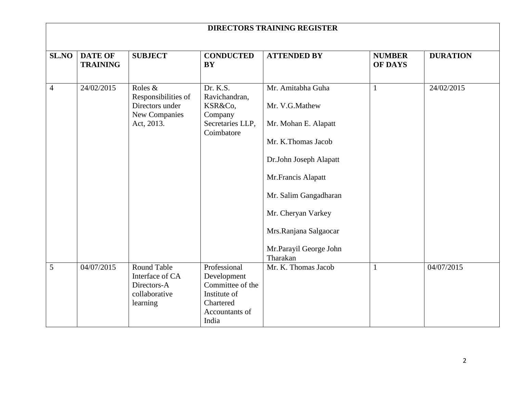|                |                                   |                                                                                   |                                                                                                         | <b>DIRECTORS TRAINING REGISTER</b>                                                                                                                                                                                                              |                                 |                 |
|----------------|-----------------------------------|-----------------------------------------------------------------------------------|---------------------------------------------------------------------------------------------------------|-------------------------------------------------------------------------------------------------------------------------------------------------------------------------------------------------------------------------------------------------|---------------------------------|-----------------|
| SL.NO          | <b>DATE OF</b><br><b>TRAINING</b> | <b>SUBJECT</b>                                                                    | <b>CONDUCTED</b><br><b>BY</b>                                                                           | <b>ATTENDED BY</b>                                                                                                                                                                                                                              | <b>NUMBER</b><br><b>OF DAYS</b> | <b>DURATION</b> |
| $\overline{4}$ | 24/02/2015                        | Roles &<br>Responsibilities of<br>Directors under<br>New Companies<br>Act, 2013.  | Dr. K.S.<br>Ravichandran,<br>KSR&Co,<br>Company<br>Secretaries LLP,<br>Coimbatore                       | Mr. Amitabha Guha<br>Mr. V.G.Mathew<br>Mr. Mohan E. Alapatt<br>Mr. K.Thomas Jacob<br>Dr.John Joseph Alapatt<br>Mr.Francis Alapatt<br>Mr. Salim Gangadharan<br>Mr. Cheryan Varkey<br>Mrs.Ranjana Salgaocar<br>Mr.Parayil George John<br>Tharakan | $\mathbf{1}$                    | 24/02/2015      |
| 5              | 04/07/2015                        | <b>Round Table</b><br>Interface of CA<br>Directors-A<br>collaborative<br>learning | Professional<br>Development<br>Committee of the<br>Institute of<br>Chartered<br>Accountants of<br>India | Mr. K. Thomas Jacob                                                                                                                                                                                                                             | $\mathbf{1}$                    | 04/07/2015      |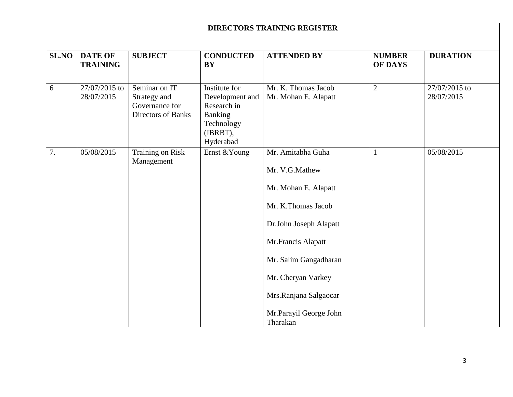|       | <b>DIRECTORS TRAINING REGISTER</b> |                                                                       |                                                                                                   |                                                                                                                                                                                                                                                 |                                 |                             |  |
|-------|------------------------------------|-----------------------------------------------------------------------|---------------------------------------------------------------------------------------------------|-------------------------------------------------------------------------------------------------------------------------------------------------------------------------------------------------------------------------------------------------|---------------------------------|-----------------------------|--|
| SL.NO | <b>DATE OF</b><br><b>TRAINING</b>  | <b>SUBJECT</b>                                                        | <b>CONDUCTED</b><br><b>BY</b>                                                                     | <b>ATTENDED BY</b>                                                                                                                                                                                                                              | <b>NUMBER</b><br><b>OF DAYS</b> | <b>DURATION</b>             |  |
| 6     | 27/07/2015 to<br>28/07/2015        | Seminar on IT<br>Strategy and<br>Governance for<br>Directors of Banks | Institute for<br>Development and<br>Research in<br>Banking<br>Technology<br>(IBRBT),<br>Hyderabad | Mr. K. Thomas Jacob<br>Mr. Mohan E. Alapatt                                                                                                                                                                                                     | $\overline{2}$                  | 27/07/2015 to<br>28/07/2015 |  |
| 7.    | 05/08/2015                         | Training on Risk<br>Management                                        | Ernst & Young                                                                                     | Mr. Amitabha Guha<br>Mr. V.G.Mathew<br>Mr. Mohan E. Alapatt<br>Mr. K.Thomas Jacob<br>Dr.John Joseph Alapatt<br>Mr.Francis Alapatt<br>Mr. Salim Gangadharan<br>Mr. Cheryan Varkey<br>Mrs.Ranjana Salgaocar<br>Mr.Parayil George John<br>Tharakan | 1                               | 05/08/2015                  |  |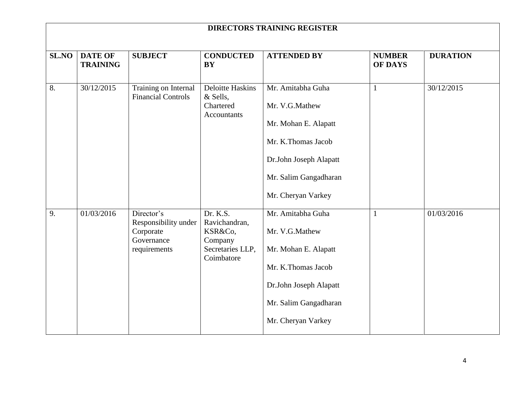|       | <b>DIRECTORS TRAINING REGISTER</b> |                                                                               |                                                                                   |                                                                                                                                                            |                                 |                 |  |
|-------|------------------------------------|-------------------------------------------------------------------------------|-----------------------------------------------------------------------------------|------------------------------------------------------------------------------------------------------------------------------------------------------------|---------------------------------|-----------------|--|
| SL.NO | <b>DATE OF</b><br><b>TRAINING</b>  | <b>SUBJECT</b>                                                                | <b>CONDUCTED</b><br><b>BY</b>                                                     | <b>ATTENDED BY</b>                                                                                                                                         | <b>NUMBER</b><br><b>OF DAYS</b> | <b>DURATION</b> |  |
| 8.    | 30/12/2015                         | Training on Internal<br><b>Financial Controls</b>                             | Deloitte Haskins<br>& Sells,<br>Chartered<br><b>Accountants</b>                   | Mr. Amitabha Guha<br>Mr. V.G.Mathew<br>Mr. Mohan E. Alapatt<br>Mr. K.Thomas Jacob<br>Dr.John Joseph Alapatt<br>Mr. Salim Gangadharan<br>Mr. Cheryan Varkey | $\mathbf{1}$                    | 30/12/2015      |  |
| 9.    | 01/03/2016                         | Director's<br>Responsibility under<br>Corporate<br>Governance<br>requirements | Dr. K.S.<br>Ravichandran,<br>KSR&Co,<br>Company<br>Secretaries LLP,<br>Coimbatore | Mr. Amitabha Guha<br>Mr. V.G.Mathew<br>Mr. Mohan E. Alapatt<br>Mr. K.Thomas Jacob<br>Dr.John Joseph Alapatt<br>Mr. Salim Gangadharan<br>Mr. Cheryan Varkey | 1                               | 01/03/2016      |  |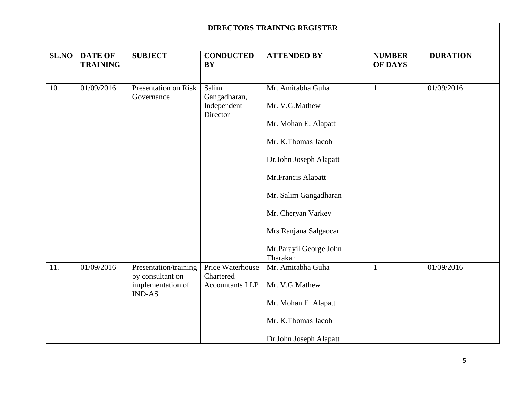|              |                                   |                                                                                 |                                                         | <b>DIRECTORS TRAINING REGISTER</b>                                                                                                                                                                                                              |                                 |                 |
|--------------|-----------------------------------|---------------------------------------------------------------------------------|---------------------------------------------------------|-------------------------------------------------------------------------------------------------------------------------------------------------------------------------------------------------------------------------------------------------|---------------------------------|-----------------|
| <b>SL.NO</b> | <b>DATE OF</b><br><b>TRAINING</b> | <b>SUBJECT</b>                                                                  | <b>CONDUCTED</b><br><b>BY</b>                           | <b>ATTENDED BY</b>                                                                                                                                                                                                                              | <b>NUMBER</b><br><b>OF DAYS</b> | <b>DURATION</b> |
| 10.          | 01/09/2016                        | Presentation on Risk<br>Governance                                              | Salim<br>Gangadharan,<br>Independent<br>Director        | Mr. Amitabha Guha<br>Mr. V.G.Mathew<br>Mr. Mohan E. Alapatt<br>Mr. K.Thomas Jacob<br>Dr.John Joseph Alapatt<br>Mr.Francis Alapatt<br>Mr. Salim Gangadharan<br>Mr. Cheryan Varkey<br>Mrs.Ranjana Salgaocar<br>Mr.Parayil George John<br>Tharakan | $\mathbf{1}$                    | 01/09/2016      |
| 11.          | 01/09/2016                        | Presentation/training<br>by consultant on<br>implementation of<br><b>IND-AS</b> | Price Waterhouse<br>Chartered<br><b>Accountants LLP</b> | Mr. Amitabha Guha<br>Mr. V.G.Mathew<br>Mr. Mohan E. Alapatt<br>Mr. K.Thomas Jacob<br>Dr.John Joseph Alapatt                                                                                                                                     | $\mathbf{1}$                    | 01/09/2016      |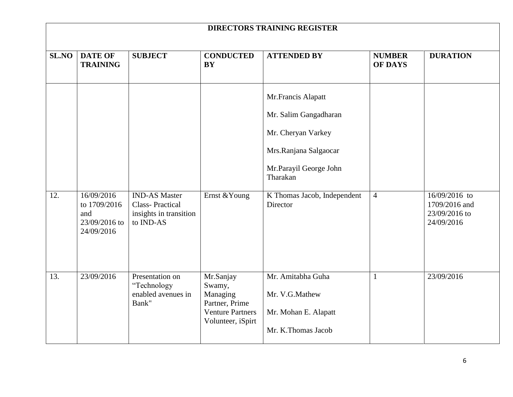|              | <b>DIRECTORS TRAINING REGISTER</b>                               |                                                                                       |                                                                                                   |                                                                                                                                                                             |                                 |                                                               |  |
|--------------|------------------------------------------------------------------|---------------------------------------------------------------------------------------|---------------------------------------------------------------------------------------------------|-----------------------------------------------------------------------------------------------------------------------------------------------------------------------------|---------------------------------|---------------------------------------------------------------|--|
| <b>SL.NO</b> | <b>DATE OF</b><br><b>TRAINING</b>                                | <b>SUBJECT</b>                                                                        | <b>CONDUCTED</b><br><b>BY</b>                                                                     | <b>ATTENDED BY</b>                                                                                                                                                          | <b>NUMBER</b><br><b>OF DAYS</b> | <b>DURATION</b>                                               |  |
| 12.          | 16/09/2016<br>to 1709/2016<br>and<br>23/09/2016 to<br>24/09/2016 | <b>IND-AS Master</b><br><b>Class-Practical</b><br>insights in transition<br>to IND-AS | Ernst & Young                                                                                     | Mr.Francis Alapatt<br>Mr. Salim Gangadharan<br>Mr. Cheryan Varkey<br>Mrs.Ranjana Salgaocar<br>Mr.Parayil George John<br>Tharakan<br>K Thomas Jacob, Independent<br>Director | $\overline{4}$                  | 16/09/2016 to<br>1709/2016 and<br>23/09/2016 to<br>24/09/2016 |  |
| 13.          | 23/09/2016                                                       | Presentation on<br>"Technology<br>enabled avenues in<br>Bank"                         | Mr.Sanjay<br>Swamy,<br>Managing<br>Partner, Prime<br><b>Venture Partners</b><br>Volunteer, iSpirt | Mr. Amitabha Guha<br>Mr. V.G.Mathew<br>Mr. Mohan E. Alapatt<br>Mr. K.Thomas Jacob                                                                                           | $\mathbf{1}$                    | 23/09/2016                                                    |  |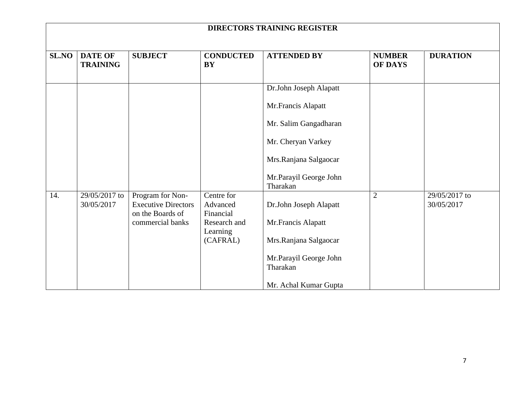|              | <b>DIRECTORS TRAINING REGISTER</b> |                                                                    |                                     |                                    |                                 |                             |
|--------------|------------------------------------|--------------------------------------------------------------------|-------------------------------------|------------------------------------|---------------------------------|-----------------------------|
| <b>SL.NO</b> | <b>DATE OF</b><br><b>TRAINING</b>  | <b>SUBJECT</b>                                                     | <b>CONDUCTED</b><br><b>BY</b>       | <b>ATTENDED BY</b>                 | <b>NUMBER</b><br><b>OF DAYS</b> | <b>DURATION</b>             |
|              |                                    |                                                                    |                                     | Dr.John Joseph Alapatt             |                                 |                             |
|              |                                    |                                                                    |                                     | Mr.Francis Alapatt                 |                                 |                             |
|              |                                    |                                                                    |                                     | Mr. Salim Gangadharan              |                                 |                             |
|              |                                    |                                                                    |                                     | Mr. Cheryan Varkey                 |                                 |                             |
|              |                                    |                                                                    |                                     | Mrs.Ranjana Salgaocar              |                                 |                             |
|              |                                    |                                                                    |                                     | Mr.Parayil George John<br>Tharakan |                                 |                             |
| 14.          | 29/05/2017 to<br>30/05/2017        | Program for Non-<br><b>Executive Directors</b><br>on the Boards of | Centre for<br>Advanced<br>Financial | Dr.John Joseph Alapatt             | $\overline{2}$                  | 29/05/2017 to<br>30/05/2017 |
|              |                                    | commercial banks                                                   | Research and<br>Learning            | Mr.Francis Alapatt                 |                                 |                             |
|              |                                    |                                                                    | (CAFRAL)                            | Mrs.Ranjana Salgaocar              |                                 |                             |
|              |                                    |                                                                    |                                     | Mr.Parayil George John<br>Tharakan |                                 |                             |
|              |                                    |                                                                    |                                     | Mr. Achal Kumar Gupta              |                                 |                             |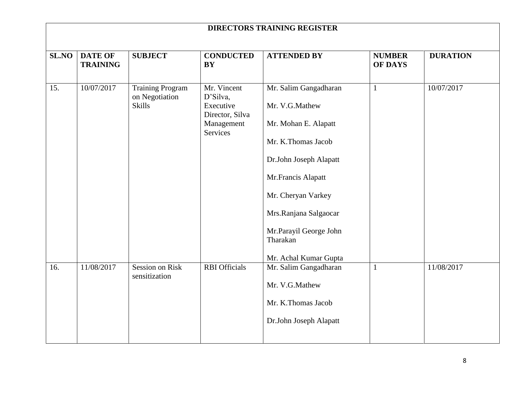| <b>DIRECTORS TRAINING REGISTER</b> |                                   |                                                            |                                                                                   |                                                                                                                                                                                                                                                     |                                 |                 |
|------------------------------------|-----------------------------------|------------------------------------------------------------|-----------------------------------------------------------------------------------|-----------------------------------------------------------------------------------------------------------------------------------------------------------------------------------------------------------------------------------------------------|---------------------------------|-----------------|
| SL.NO                              | <b>DATE OF</b><br><b>TRAINING</b> | <b>SUBJECT</b>                                             | <b>CONDUCTED</b><br><b>BY</b>                                                     | <b>ATTENDED BY</b>                                                                                                                                                                                                                                  | <b>NUMBER</b><br><b>OF DAYS</b> | <b>DURATION</b> |
| 15.                                | 10/07/2017                        | <b>Training Program</b><br>on Negotiation<br><b>Skills</b> | Mr. Vincent<br>D'Silva,<br>Executive<br>Director, Silva<br>Management<br>Services | Mr. Salim Gangadharan<br>Mr. V.G.Mathew<br>Mr. Mohan E. Alapatt<br>Mr. K.Thomas Jacob<br>Dr.John Joseph Alapatt<br>Mr.Francis Alapatt<br>Mr. Cheryan Varkey<br>Mrs.Ranjana Salgaocar<br>Mr.Parayil George John<br>Tharakan<br>Mr. Achal Kumar Gupta | $\mathbf{1}$                    | 10/07/2017      |
| 16.                                | 11/08/2017                        | <b>Session on Risk</b><br>sensitization                    | <b>RBI</b> Officials                                                              | Mr. Salim Gangadharan<br>Mr. V.G.Mathew<br>Mr. K.Thomas Jacob<br>Dr.John Joseph Alapatt                                                                                                                                                             | $\mathbf{1}$                    | 11/08/2017      |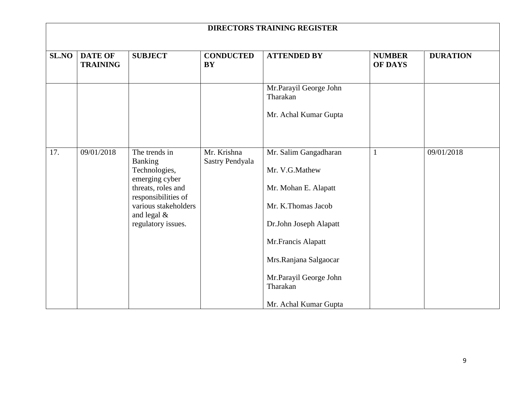|              | <b>DIRECTORS TRAINING REGISTER</b> |                                                                                                                                                           |                                |                                                                                                                                      |                                 |                 |
|--------------|------------------------------------|-----------------------------------------------------------------------------------------------------------------------------------------------------------|--------------------------------|--------------------------------------------------------------------------------------------------------------------------------------|---------------------------------|-----------------|
| <b>SL.NO</b> | <b>DATE OF</b><br><b>TRAINING</b>  | <b>SUBJECT</b>                                                                                                                                            | <b>CONDUCTED</b><br><b>BY</b>  | <b>ATTENDED BY</b>                                                                                                                   | <b>NUMBER</b><br><b>OF DAYS</b> | <b>DURATION</b> |
|              |                                    |                                                                                                                                                           |                                | Mr.Parayil George John<br>Tharakan                                                                                                   |                                 |                 |
|              |                                    |                                                                                                                                                           |                                | Mr. Achal Kumar Gupta                                                                                                                |                                 |                 |
| 17.          | 09/01/2018                         | The trends in<br><b>Banking</b><br>Technologies,<br>emerging cyber<br>threats, roles and<br>responsibilities of<br>various stakeholders<br>and legal $\&$ | Mr. Krishna<br>Sastry Pendyala | Mr. Salim Gangadharan<br>Mr. V.G.Mathew<br>Mr. Mohan E. Alapatt<br>Mr. K.Thomas Jacob                                                | $\mathbf{1}$                    | 09/01/2018      |
|              |                                    | regulatory issues.                                                                                                                                        |                                | Dr.John Joseph Alapatt<br>Mr.Francis Alapatt<br>Mrs.Ranjana Salgaocar<br>Mr.Parayil George John<br>Tharakan<br>Mr. Achal Kumar Gupta |                                 |                 |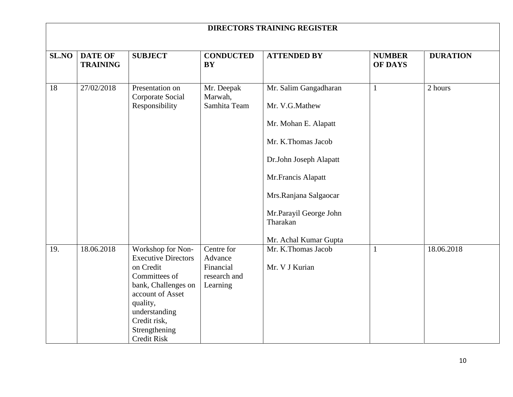|       | <b>DIRECTORS TRAINING REGISTER</b> |                                                                                                                                                                                                              |                                                                |                                                                                                                                                                                                                               |                                 |                 |  |
|-------|------------------------------------|--------------------------------------------------------------------------------------------------------------------------------------------------------------------------------------------------------------|----------------------------------------------------------------|-------------------------------------------------------------------------------------------------------------------------------------------------------------------------------------------------------------------------------|---------------------------------|-----------------|--|
| SL.NO | <b>DATE OF</b><br><b>TRAINING</b>  | <b>SUBJECT</b>                                                                                                                                                                                               | <b>CONDUCTED</b><br><b>BY</b>                                  | <b>ATTENDED BY</b>                                                                                                                                                                                                            | <b>NUMBER</b><br><b>OF DAYS</b> | <b>DURATION</b> |  |
| 18    | 27/02/2018                         | Presentation on<br>Corporate Social<br>Responsibility                                                                                                                                                        | Mr. Deepak<br>Marwah,<br>Samhita Team                          | Mr. Salim Gangadharan<br>Mr. V.G.Mathew<br>Mr. Mohan E. Alapatt<br>Mr. K.Thomas Jacob<br>Dr.John Joseph Alapatt<br>Mr.Francis Alapatt<br>Mrs.Ranjana Salgaocar<br>Mr.Parayil George John<br>Tharakan<br>Mr. Achal Kumar Gupta | $\mathbf{1}$                    | 2 hours         |  |
| 19.   | 18.06.2018                         | Workshop for Non-<br><b>Executive Directors</b><br>on Credit<br>Committees of<br>bank, Challenges on<br>account of Asset<br>quality,<br>understanding<br>Credit risk,<br>Strengthening<br><b>Credit Risk</b> | Centre for<br>Advance<br>Financial<br>research and<br>Learning | Mr. K.Thomas Jacob<br>Mr. V J Kurian                                                                                                                                                                                          | $\mathbf{1}$                    | 18.06.2018      |  |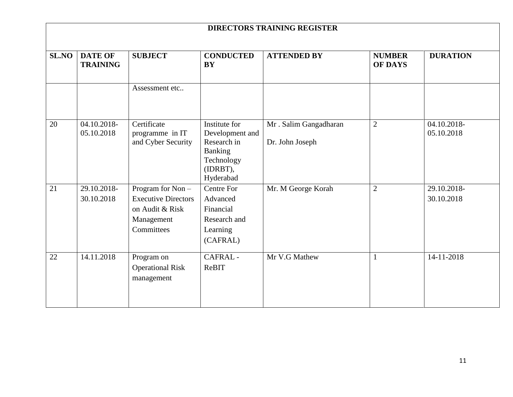|              |                                   |                                                                                                |                                                                                                          | <b>DIRECTORS TRAINING REGISTER</b>       |                                 |                           |
|--------------|-----------------------------------|------------------------------------------------------------------------------------------------|----------------------------------------------------------------------------------------------------------|------------------------------------------|---------------------------------|---------------------------|
| <b>SL.NO</b> | <b>DATE OF</b><br><b>TRAINING</b> | <b>SUBJECT</b>                                                                                 | <b>CONDUCTED</b><br><b>BY</b>                                                                            | <b>ATTENDED BY</b>                       | <b>NUMBER</b><br><b>OF DAYS</b> | <b>DURATION</b>           |
|              |                                   | Assessment etc                                                                                 |                                                                                                          |                                          |                                 |                           |
| 20           | 04.10.2018-<br>05.10.2018         | Certificate<br>programme in IT<br>and Cyber Security                                           | Institute for<br>Development and<br>Research in<br><b>Banking</b><br>Technology<br>(IDRBT),<br>Hyderabad | Mr. Salim Gangadharan<br>Dr. John Joseph | $\overline{2}$                  | 04.10.2018-<br>05.10.2018 |
| 21           | 29.10.2018-<br>30.10.2018         | Program for Non -<br><b>Executive Directors</b><br>on Audit & Risk<br>Management<br>Committees | Centre For<br>Advanced<br>Financial<br>Research and<br>Learning<br>(CAFRAL)                              | Mr. M George Korah                       | $\overline{2}$                  | 29.10.2018-<br>30.10.2018 |
| 22           | 14.11.2018                        | Program on<br><b>Operational Risk</b><br>management                                            | CAFRAL-<br>ReBIT                                                                                         | Mr V.G Mathew                            | 1                               | 14-11-2018                |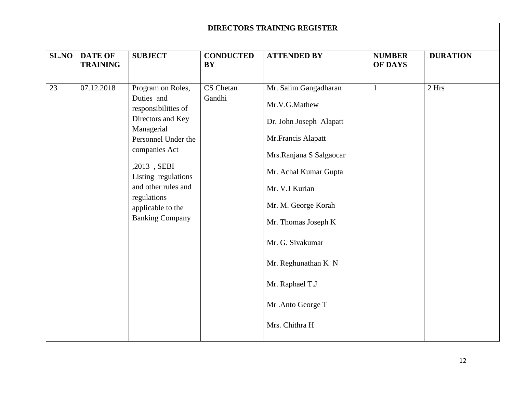|                    | <b>DIRECTORS TRAINING REGISTER</b>              |                                                                                                                                                     |                                                      |                                                                                                                                                                                            |                                                 |                          |  |  |
|--------------------|-------------------------------------------------|-----------------------------------------------------------------------------------------------------------------------------------------------------|------------------------------------------------------|--------------------------------------------------------------------------------------------------------------------------------------------------------------------------------------------|-------------------------------------------------|--------------------------|--|--|
| <b>SL.NO</b><br>23 | <b>DATE OF</b><br><b>TRAINING</b><br>07.12.2018 | <b>SUBJECT</b><br>Program on Roles,<br>Duties and<br>responsibilities of<br>Directors and Key<br>Managerial<br>Personnel Under the<br>companies Act | <b>CONDUCTED</b><br><b>BY</b><br>CS Chetan<br>Gandhi | <b>ATTENDED BY</b><br>Mr. Salim Gangadharan<br>Mr.V.G.Mathew<br>Dr. John Joseph Alapatt<br>Mr.Francis Alapatt<br>Mrs.Ranjana S Salgaocar                                                   | <b>NUMBER</b><br><b>OF DAYS</b><br>$\mathbf{1}$ | <b>DURATION</b><br>2 Hrs |  |  |
|                    |                                                 | ,2013, SEBI<br>Listing regulations<br>and other rules and<br>regulations<br>applicable to the<br><b>Banking Company</b>                             |                                                      | Mr. Achal Kumar Gupta<br>Mr. V.J Kurian<br>Mr. M. George Korah<br>Mr. Thomas Joseph K<br>Mr. G. Sivakumar<br>Mr. Reghunathan K N<br>Mr. Raphael T.J<br>Mr. Anto George T<br>Mrs. Chithra H |                                                 |                          |  |  |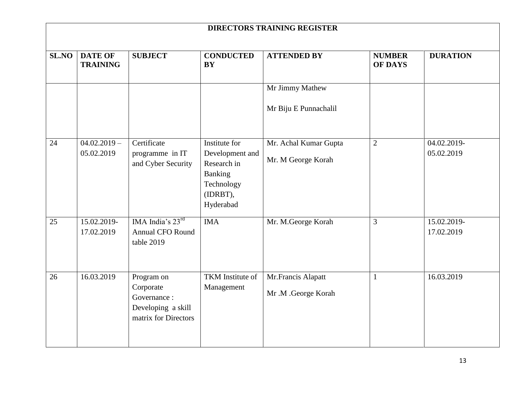| <b>DIRECTORS TRAINING REGISTER</b> |                                   |                                                                                      |                                                                                                   |                                             |                                 |                           |  |  |
|------------------------------------|-----------------------------------|--------------------------------------------------------------------------------------|---------------------------------------------------------------------------------------------------|---------------------------------------------|---------------------------------|---------------------------|--|--|
| SL.NO                              | <b>DATE OF</b><br><b>TRAINING</b> | <b>SUBJECT</b>                                                                       | <b>CONDUCTED</b><br><b>BY</b>                                                                     | <b>ATTENDED BY</b>                          | <b>NUMBER</b><br><b>OF DAYS</b> | <b>DURATION</b>           |  |  |
|                                    |                                   |                                                                                      |                                                                                                   | Mr Jimmy Mathew<br>Mr Biju E Punnachalil    |                                 |                           |  |  |
| 24                                 | $04.02.2019 -$<br>05.02.2019      | Certificate<br>programme in IT<br>and Cyber Security                                 | Institute for<br>Development and<br>Research in<br>Banking<br>Technology<br>(IDRBT),<br>Hyderabad | Mr. Achal Kumar Gupta<br>Mr. M George Korah | $\overline{2}$                  | 04.02.2019-<br>05.02.2019 |  |  |
| 25                                 | 15.02.2019-<br>17.02.2019         | IMA India's $23^{\text{rd}}$<br><b>Annual CFO Round</b><br>table 2019                | <b>IMA</b>                                                                                        | Mr. M.George Korah                          | 3                               | 15.02.2019-<br>17.02.2019 |  |  |
| 26                                 | 16.03.2019                        | Program on<br>Corporate<br>Governance:<br>Developing a skill<br>matrix for Directors | TKM Institute of<br>Management                                                                    | Mr.Francis Alapatt<br>Mr .M .George Korah   | $\mathbf{1}$                    | 16.03.2019                |  |  |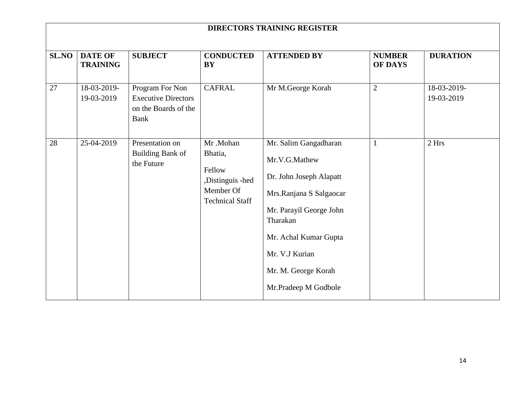| <b>DIRECTORS TRAINING REGISTER</b> |                                   |                                                                                      |                                                                                          |                                                                                                                                                                                                                               |                                 |                           |  |
|------------------------------------|-----------------------------------|--------------------------------------------------------------------------------------|------------------------------------------------------------------------------------------|-------------------------------------------------------------------------------------------------------------------------------------------------------------------------------------------------------------------------------|---------------------------------|---------------------------|--|
| <b>SL.NO</b>                       | <b>DATE OF</b><br><b>TRAINING</b> | <b>SUBJECT</b>                                                                       | <b>CONDUCTED</b><br><b>BY</b>                                                            | <b>ATTENDED BY</b>                                                                                                                                                                                                            | <b>NUMBER</b><br><b>OF DAYS</b> | <b>DURATION</b>           |  |
| 27                                 | 18-03-2019-<br>19-03-2019         | Program For Non<br><b>Executive Directors</b><br>on the Boards of the<br><b>Bank</b> | <b>CAFRAL</b>                                                                            | Mr M.George Korah                                                                                                                                                                                                             | $\mathbf{2}$                    | 18-03-2019-<br>19-03-2019 |  |
| 28                                 | 25-04-2019                        | Presentation on<br><b>Building Bank of</b><br>the Future                             | Mr.Mohan<br>Bhatia,<br>Fellow<br>,Distinguis -hed<br>Member Of<br><b>Technical Staff</b> | Mr. Salim Gangadharan<br>Mr.V.G.Mathew<br>Dr. John Joseph Alapatt<br>Mrs.Ranjana S Salgaocar<br>Mr. Parayil George John<br>Tharakan<br>Mr. Achal Kumar Gupta<br>Mr. V.J Kurian<br>Mr. M. George Korah<br>Mr.Pradeep M Godbole | $\mathbf{1}$                    | 2 Hrs                     |  |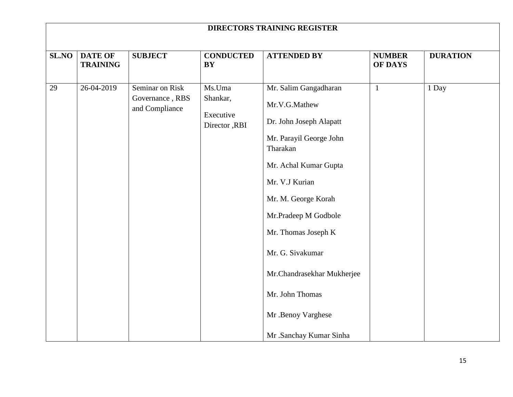| <b>DIRECTORS TRAINING REGISTER</b> |                                   |                                                      |                                                  |                                                                                                                                                                                                                                                                                                                                                 |                                 |                 |  |  |
|------------------------------------|-----------------------------------|------------------------------------------------------|--------------------------------------------------|-------------------------------------------------------------------------------------------------------------------------------------------------------------------------------------------------------------------------------------------------------------------------------------------------------------------------------------------------|---------------------------------|-----------------|--|--|
| <b>SL.NO</b>                       | <b>DATE OF</b><br><b>TRAINING</b> | <b>SUBJECT</b>                                       | <b>CONDUCTED</b><br><b>BY</b>                    | <b>ATTENDED BY</b>                                                                                                                                                                                                                                                                                                                              | <b>NUMBER</b><br><b>OF DAYS</b> | <b>DURATION</b> |  |  |
| 29                                 | 26-04-2019                        | Seminar on Risk<br>Governance, RBS<br>and Compliance | Ms.Uma<br>Shankar,<br>Executive<br>Director, RBI | Mr. Salim Gangadharan<br>Mr.V.G.Mathew<br>Dr. John Joseph Alapatt<br>Mr. Parayil George John<br>Tharakan<br>Mr. Achal Kumar Gupta<br>Mr. V.J Kurian<br>Mr. M. George Korah<br>Mr.Pradeep M Godbole<br>Mr. Thomas Joseph K<br>Mr. G. Sivakumar<br>Mr.Chandrasekhar Mukherjee<br>Mr. John Thomas<br>Mr .Benoy Varghese<br>Mr .Sanchay Kumar Sinha | $\mathbf{1}$                    | 1 Day           |  |  |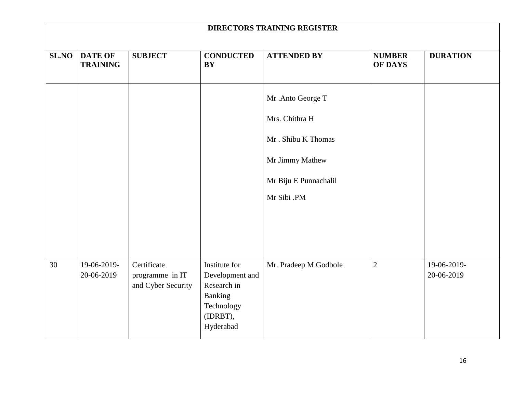| <b>DIRECTORS TRAINING REGISTER</b> |                                   |                                                      |                                                                                                   |                                                                                                                      |                                 |                           |  |
|------------------------------------|-----------------------------------|------------------------------------------------------|---------------------------------------------------------------------------------------------------|----------------------------------------------------------------------------------------------------------------------|---------------------------------|---------------------------|--|
| SL.NO                              | <b>DATE OF</b><br><b>TRAINING</b> | <b>SUBJECT</b>                                       | <b>CONDUCTED</b><br><b>BY</b>                                                                     | <b>ATTENDED BY</b>                                                                                                   | <b>NUMBER</b><br><b>OF DAYS</b> | <b>DURATION</b>           |  |
|                                    |                                   |                                                      |                                                                                                   | Mr .Anto George T<br>Mrs. Chithra H<br>Mr. Shibu K Thomas<br>Mr Jimmy Mathew<br>Mr Biju E Punnachalil<br>Mr Sibi .PM |                                 |                           |  |
| 30                                 | 19-06-2019-<br>20-06-2019         | Certificate<br>programme in IT<br>and Cyber Security | Institute for<br>Development and<br>Research in<br>Banking<br>Technology<br>(IDRBT),<br>Hyderabad | Mr. Pradeep M Godbole                                                                                                | $\sqrt{2}$                      | 19-06-2019-<br>20-06-2019 |  |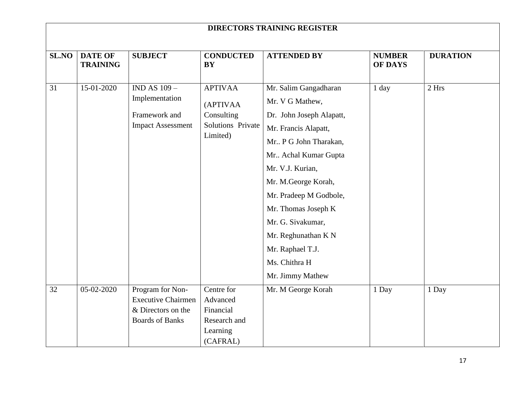| <b>DIRECTORS TRAINING REGISTER</b> |                                   |                                                                                               |                                                                             |                                                                                                                                                                                                                                                                                                                                                |                                 |                 |  |  |
|------------------------------------|-----------------------------------|-----------------------------------------------------------------------------------------------|-----------------------------------------------------------------------------|------------------------------------------------------------------------------------------------------------------------------------------------------------------------------------------------------------------------------------------------------------------------------------------------------------------------------------------------|---------------------------------|-----------------|--|--|
| SL.NO                              | <b>DATE OF</b><br><b>TRAINING</b> | <b>SUBJECT</b>                                                                                | <b>CONDUCTED</b><br><b>BY</b>                                               | <b>ATTENDED BY</b>                                                                                                                                                                                                                                                                                                                             | <b>NUMBER</b><br><b>OF DAYS</b> | <b>DURATION</b> |  |  |
| 31                                 | 15-01-2020                        | <b>IND AS 109 -</b><br>Implementation<br>Framework and<br><b>Impact Assessment</b>            | <b>APTIVAA</b><br>(APTIVAA<br>Consulting<br>Solutions Private<br>Limited)   | Mr. Salim Gangadharan<br>Mr. V G Mathew,<br>Dr. John Joseph Alapatt,<br>Mr. Francis Alapatt,<br>Mr P G John Tharakan,<br>Mr Achal Kumar Gupta<br>Mr. V.J. Kurian,<br>Mr. M.George Korah,<br>Mr. Pradeep M Godbole,<br>Mr. Thomas Joseph K<br>Mr. G. Sivakumar,<br>Mr. Reghunathan K N<br>Mr. Raphael T.J.<br>Ms. Chithra H<br>Mr. Jimmy Mathew | $1$ day                         | 2 Hrs           |  |  |
| 32                                 | 05-02-2020                        | Program for Non-<br><b>Executive Chairmen</b><br>& Directors on the<br><b>Boards of Banks</b> | Centre for<br>Advanced<br>Financial<br>Research and<br>Learning<br>(CAFRAL) | Mr. M George Korah                                                                                                                                                                                                                                                                                                                             | 1 Day                           | 1 Day           |  |  |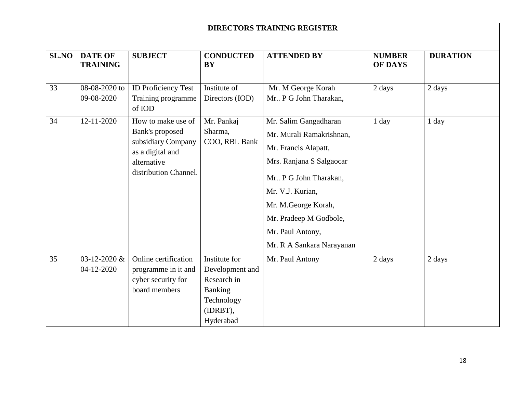|              | <b>DIRECTORS TRAINING REGISTER</b> |                                                                                                                         |                                                                                                   |                                                                                                                                                                                                                                                      |                                 |                 |  |  |  |
|--------------|------------------------------------|-------------------------------------------------------------------------------------------------------------------------|---------------------------------------------------------------------------------------------------|------------------------------------------------------------------------------------------------------------------------------------------------------------------------------------------------------------------------------------------------------|---------------------------------|-----------------|--|--|--|
| <b>SL.NO</b> | <b>DATE OF</b><br><b>TRAINING</b>  | <b>SUBJECT</b>                                                                                                          | <b>CONDUCTED</b><br><b>BY</b>                                                                     | <b>ATTENDED BY</b>                                                                                                                                                                                                                                   | <b>NUMBER</b><br><b>OF DAYS</b> | <b>DURATION</b> |  |  |  |
| 33           | 08-08-2020 to<br>09-08-2020        | <b>ID Proficiency Test</b><br>Training programme<br>of IOD                                                              | Institute of<br>Directors (IOD)                                                                   | Mr. M George Korah<br>Mr P G John Tharakan,                                                                                                                                                                                                          | 2 days                          | 2 days          |  |  |  |
| 34           | $12 - 11 - 2020$                   | How to make use of<br>Bank's proposed<br>subsidiary Company<br>as a digital and<br>alternative<br>distribution Channel. | Mr. Pankaj<br>Sharma,<br>COO, RBL Bank                                                            | Mr. Salim Gangadharan<br>Mr. Murali Ramakrishnan,<br>Mr. Francis Alapatt,<br>Mrs. Ranjana S Salgaocar<br>Mr P G John Tharakan,<br>Mr. V.J. Kurian,<br>Mr. M.George Korah,<br>Mr. Pradeep M Godbole,<br>Mr. Paul Antony,<br>Mr. R A Sankara Narayanan | $1$ day                         | 1 day           |  |  |  |
| 35           | 03-12-2020 &<br>04-12-2020         | Online certification<br>programme in it and<br>cyber security for<br>board members                                      | Institute for<br>Development and<br>Research in<br>Banking<br>Technology<br>(IDRBT),<br>Hyderabad | Mr. Paul Antony                                                                                                                                                                                                                                      | 2 days                          | 2 days          |  |  |  |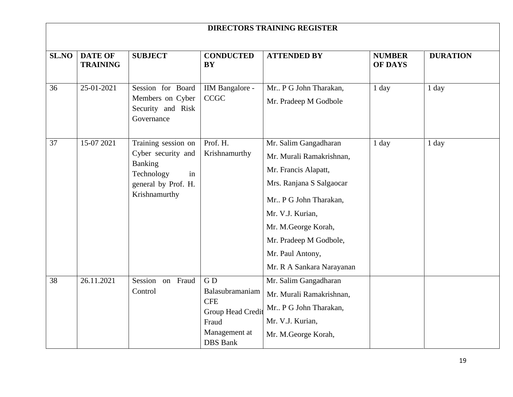| <b>DIRECTORS TRAINING REGISTER</b> |                                   |                                                                                                                  |                                                                                                       |                                                                                                                                                                                                                                                      |                                 |                 |  |
|------------------------------------|-----------------------------------|------------------------------------------------------------------------------------------------------------------|-------------------------------------------------------------------------------------------------------|------------------------------------------------------------------------------------------------------------------------------------------------------------------------------------------------------------------------------------------------------|---------------------------------|-----------------|--|
| <b>SL.NO</b>                       | <b>DATE OF</b><br><b>TRAINING</b> | <b>SUBJECT</b>                                                                                                   | <b>CONDUCTED</b><br><b>BY</b>                                                                         | <b>ATTENDED BY</b>                                                                                                                                                                                                                                   | <b>NUMBER</b><br><b>OF DAYS</b> | <b>DURATION</b> |  |
| 36                                 | 25-01-2021                        | Session for Board<br>Members on Cyber<br>Security and Risk<br>Governance                                         | IIM Bangalore -<br><b>CCGC</b>                                                                        | Mr P G John Tharakan,<br>Mr. Pradeep M Godbole                                                                                                                                                                                                       | $1$ day                         | 1 day           |  |
| 37                                 | 15-07 2021                        | Training session on<br>Cyber security and<br>Banking<br>Technology<br>in<br>general by Prof. H.<br>Krishnamurthy | Prof. H.<br>Krishnamurthy                                                                             | Mr. Salim Gangadharan<br>Mr. Murali Ramakrishnan,<br>Mr. Francis Alapatt,<br>Mrs. Ranjana S Salgaocar<br>Mr P G John Tharakan,<br>Mr. V.J. Kurian,<br>Mr. M.George Korah,<br>Mr. Pradeep M Godbole,<br>Mr. Paul Antony,<br>Mr. R A Sankara Narayanan | $1$ day                         | 1 day           |  |
| 38                                 | 26.11.2021                        | Session on Fraud<br>Control                                                                                      | GD<br>Balasubramaniam<br><b>CFE</b><br>Group Head Credit<br>Fraud<br>Management at<br><b>DBS</b> Bank | Mr. Salim Gangadharan<br>Mr. Murali Ramakrishnan,<br>Mr P G John Tharakan,<br>Mr. V.J. Kurian,<br>Mr. M.George Korah,                                                                                                                                |                                 |                 |  |